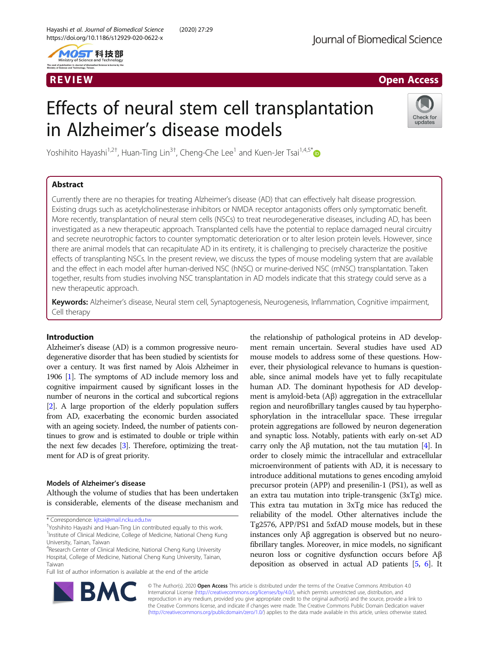

# R EVI EW Open Access

# Effects of neural stem cell transplantation in Alzheimer's disease models



Yoshihito Hayashi<sup>1,2†</sup>, Huan-Ting Lin<sup>3†</sup>, Cheng-Che Lee<sup>1</sup> and Kuen-Jer Tsai<sup>1,4,5\*</sup>

# Abstract

Currently there are no therapies for treating Alzheimer's disease (AD) that can effectively halt disease progression. Existing drugs such as acetylcholinesterase inhibitors or NMDA receptor antagonists offers only symptomatic benefit. More recently, transplantation of neural stem cells (NSCs) to treat neurodegenerative diseases, including AD, has been investigated as a new therapeutic approach. Transplanted cells have the potential to replace damaged neural circuitry and secrete neurotrophic factors to counter symptomatic deterioration or to alter lesion protein levels. However, since there are animal models that can recapitulate AD in its entirety, it is challenging to precisely characterize the positive effects of transplanting NSCs. In the present review, we discuss the types of mouse modeling system that are available and the effect in each model after human-derived NSC (hNSC) or murine-derived NSC (mNSC) transplantation. Taken together, results from studies involving NSC transplantation in AD models indicate that this strategy could serve as a new therapeutic approach.

Keywords: Alzheimer's disease, Neural stem cell, Synaptogenesis, Neurogenesis, Inflammation, Cognitive impairment, Cell therapy

# Introduction

Alzheimer's disease (AD) is a common progressive neurodegenerative disorder that has been studied by scientists for over a century. It was first named by Alois Alzheimer in 1906 [\[1](#page-9-0)]. The symptoms of AD include memory loss and cognitive impairment caused by significant losses in the number of neurons in the cortical and subcortical regions [[2](#page-9-0)]. A large proportion of the elderly population suffers from AD, exacerbating the economic burden associated with an ageing society. Indeed, the number of patients continues to grow and is estimated to double or triple within the next few decades [[3](#page-9-0)]. Therefore, optimizing the treatment for AD is of great priority.

# Models of Alzheimer's disease

Although the volume of studies that has been undertaken is considerable, elements of the disease mechanism and

\* Correspondence: [kjtsai@mail.ncku.edu.tw](mailto:kjtsai@mail.ncku.edu.tw) †

Yoshihito Hayashi and Huan-Ting Lin contributed equally to this work. <sup>1</sup>Institute of Clinical Medicine, College of Medicine, National Cheng Kung University, Tainan, Taiwan

Full list of author information is available at the end of the article





© The Author(s). 2020 Open Access This article is distributed under the terms of the Creative Commons Attribution 4.0 International License [\(http://creativecommons.org/licenses/by/4.0/](http://creativecommons.org/licenses/by/4.0/)), which permits unrestricted use, distribution, and reproduction in any medium, provided you give appropriate credit to the original author(s) and the source, provide a link to the Creative Commons license, and indicate if changes were made. The Creative Commons Public Domain Dedication waiver [\(http://creativecommons.org/publicdomain/zero/1.0/](http://creativecommons.org/publicdomain/zero/1.0/)) applies to the data made available in this article, unless otherwise stated.

<sup>4</sup> Research Center of Clinical Medicine, National Cheng Kung University Hospital, College of Medicine, National Cheng Kung University, Tainan, Taiwan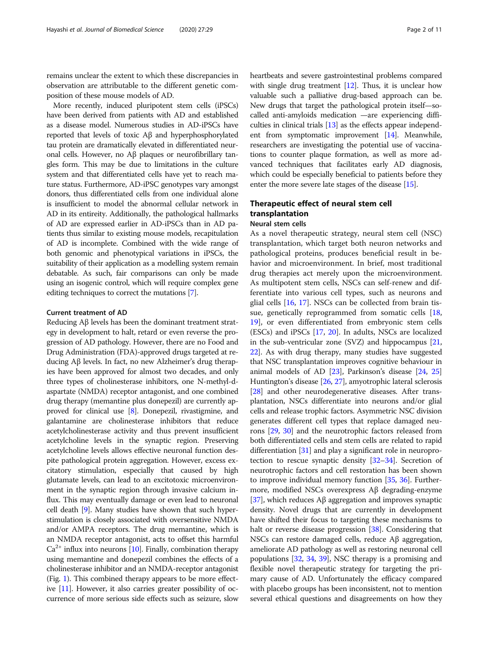remains unclear the extent to which these discrepancies in observation are attributable to the different genetic composition of these mouse models of AD.

More recently, induced pluripotent stem cells (iPSCs) have been derived from patients with AD and established as a disease model. Numerous studies in AD-iPSCs have reported that levels of toxic Aβ and hyperphosphorylated tau protein are dramatically elevated in differentiated neuronal cells. However, no Aβ plaques or neurofibrillary tangles form. This may be due to limitations in the culture system and that differentiated cells have yet to reach mature status. Furthermore, AD-iPSC genotypes vary amongst donors, thus differentiated cells from one individual alone is insufficient to model the abnormal cellular network in AD in its entireity. Additionally, the pathological hallmarks of AD are expressed earlier in AD-iPSCs than in AD patients thus similar to existing mouse models, recapitulation of AD is incomplete. Combined with the wide range of both genomic and phenotypical variations in iPSCs, the suitability of their application as a modelling system remain debatable. As such, fair comparisons can only be made using an isogenic control, which will require complex gene editing techniques to correct the mutations [[7\]](#page-9-0).

# Current treatment of AD

Reducing Aβ levels has been the dominant treatment strategy in development to halt, retard or even reverse the progression of AD pathology. However, there are no Food and Drug Administration (FDA)-approved drugs targeted at reducing Aβ levels. In fact, no new Alzheimer's drug therapies have been approved for almost two decades, and only three types of cholinesterase inhibitors, one N-methyl-daspartate (NMDA) receptor antagonist, and one combined drug therapy (memantine plus donepezil) are currently approved for clinical use [\[8\]](#page-9-0). Donepezil, rivastigmine, and galantamine are cholinesterase inhibitors that reduce acetylcholinesterase activity and thus prevent insufficient acetylcholine levels in the synaptic region. Preserving acetylcholine levels allows effective neuronal function despite pathological protein aggregation. However, excess excitatory stimulation, especially that caused by high glutamate levels, can lead to an excitotoxic microenvironment in the synaptic region through invasive calcium influx. This may eventually damage or even lead to neuronal cell death [\[9\]](#page-9-0). Many studies have shown that such hyperstimulation is closely associated with oversensitive NMDA and/or AMPA receptors. The drug memantine, which is an NMDA receptor antagonist, acts to offset this harmful  $Ca<sup>2+</sup>$  influx into neurons [\[10](#page-9-0)]. Finally, combination therapy using memantine and donepezil combines the effects of a cholinesterase inhibitor and an NMDA-receptor antagonist (Fig. [1\)](#page-2-0). This combined therapy appears to be more effective [\[11](#page-9-0)]. However, it also carries greater possibility of occurrence of more serious side effects such as seizure, slow heartbeats and severe gastrointestinal problems compared with single drug treatment [\[12\]](#page-9-0). Thus, it is unclear how valuable such a palliative drug-based approach can be. New drugs that target the pathological protein itself—socalled anti-amyloids medication —are experiencing difficulties in clinical trials [\[13\]](#page-9-0) as the effects appear independent from symptomatic improvement [\[14\]](#page-9-0). Meanwhile, researchers are investigating the potential use of vaccinations to counter plaque formation, as well as more advanced techniques that facilitates early AD diagnosis, which could be especially beneficial to patients before they enter the more severe late stages of the disease [[15](#page-9-0)].

# Therapeutic effect of neural stem cell transplantation Neural stem cells

As a novel therapeutic strategy, neural stem cell (NSC) transplantation, which target both neuron networks and pathological proteins, produces beneficial result in behavior and microenvironment. In brief, most traditional drug therapies act merely upon the microenvironment. As multipotent stem cells, NSCs can self-renew and differentiate into various cell types, such as neurons and glial cells [[16,](#page-9-0) [17\]](#page-9-0). NSCs can be collected from brain tissue, genetically reprogrammed from somatic cells [[18](#page-9-0), [19\]](#page-9-0), or even differentiated from embryonic stem cells (ESCs) and iPSCs [\[17](#page-9-0), [20\]](#page-9-0). In adults, NSCs are localized in the sub-ventricular zone (SVZ) and hippocampus [[21](#page-9-0), [22](#page-9-0)]. As with drug therapy, many studies have suggested that NSC transplantation improves cognitive behaviour in animal models of AD [\[23\]](#page-9-0), Parkinson's disease [\[24](#page-9-0), [25](#page-9-0)] Huntington's disease [\[26](#page-9-0), [27](#page-9-0)], amyotrophic lateral sclerosis [[28](#page-9-0)] and other neurodegenerative diseases. After transplantation, NSCs differentiate into neurons and/or glial cells and release trophic factors. Asymmetric NSC division generates different cell types that replace damaged neurons [\[29,](#page-9-0) [30](#page-9-0)] and the neurotrophic factors released from both differentiated cells and stem cells are related to rapid differentiation [\[31\]](#page-9-0) and play a significant role in neuroprotection to rescue synaptic density [[32](#page-9-0)–[34\]](#page-9-0). Secretion of neurotrophic factors and cell restoration has been shown to improve individual memory function [[35](#page-9-0), [36\]](#page-9-0). Furthermore, modified NSCs overexpress Aβ degrading-enzyme [[37](#page-9-0)], which reduces Aβ aggregation and improves synaptic density. Novel drugs that are currently in development have shifted their focus to targeting these mechanisms to halt or reverse disease progression [\[38\]](#page-9-0). Considering that NSCs can restore damaged cells, reduce Aβ aggregation, ameliorate AD pathology as well as restoring neuronal cell populations [\[32,](#page-9-0) [34,](#page-9-0) [39](#page-10-0)], NSC therapy is a promising and flexible novel therapeutic strategy for targeting the primary cause of AD. Unfortunately the efficacy compared with placebo groups has been inconsistent, not to mention several ethical questions and disagreements on how they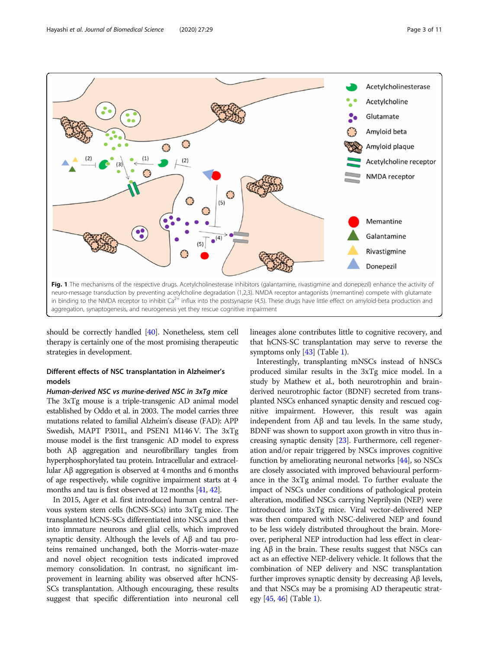<span id="page-2-0"></span>

should be correctly handled [\[40](#page-10-0)]. Nonetheless, stem cell therapy is certainly one of the most promising therapeutic strategies in development.

# Different effects of NSC transplantation in Alzheimer's models

# Human-derived NSC vs murine-derived NSC in 3xTg mice

The 3xTg mouse is a triple-transgenic AD animal model established by Oddo et al. in 2003. The model carries three mutations related to familial Alzheim's disease (FAD): APP Swedish, MAPT P301L, and PSEN1 M146 V. The 3xTg mouse model is the first transgenic AD model to express both Aβ aggregation and neurofibrillary tangles from hyperphosphorylated tau protein. Intracellular and extracellular Aβ aggregation is observed at 4 months and 6 months of age respectively, while cognitive impairment starts at 4 months and tau is first observed at 12 months [[41](#page-10-0), [42](#page-10-0)].

In 2015, Ager et al. first introduced human central nervous system stem cells (hCNS-SCs) into 3xTg mice. The transplanted hCNS-SCs differentiated into NSCs and then into immature neurons and glial cells, which improved synaptic density. Although the levels of Aβ and tau proteins remained unchanged, both the Morris-water-maze and novel object recognition tests indicated improved memory consolidation. In contrast, no significant improvement in learning ability was observed after hCNS-SCs transplantation. Although encouraging, these results suggest that specific differentiation into neuronal cell lineages alone contributes little to cognitive recovery, and that hCNS-SC transplantation may serve to reverse the symptoms only [\[43\]](#page-10-0) (Table [1\)](#page-3-0).

Interestingly, transplanting mNSCs instead of hNSCs produced similar results in the 3xTg mice model. In a study by Mathew et al., both neurotrophin and brainderived neurotrophic factor (BDNF) secreted from transplanted NSCs enhanced synaptic density and rescued cognitive impairment. However, this result was again independent from Aβ and tau levels. In the same study, BDNF was shown to support axon growth in vitro thus increasing synaptic density [\[23](#page-9-0)]. Furthermore, cell regeneration and/or repair triggered by NSCs improves cognitive function by ameliorating neuronal networks [[44\]](#page-10-0), so NSCs are closely associated with improved behavioural performance in the 3xTg animal model. To further evaluate the impact of NSCs under conditions of pathological protein alteration, modified NSCs carrying Neprilysin (NEP) were introduced into 3xTg mice. Viral vector-delivered NEP was then compared with NSC-delivered NEP and found to be less widely distributed throughout the brain. Moreover, peripheral NEP introduction had less effect in clearing Aβ in the brain. These results suggest that NSCs can act as an effective NEP-delivery vehicle. It follows that the combination of NEP delivery and NSC transplantation further improves synaptic density by decreasing Aβ levels, and that NSCs may be a promising AD therapeutic strategy [[45](#page-10-0), [46\]](#page-10-0) (Table [1](#page-3-0)).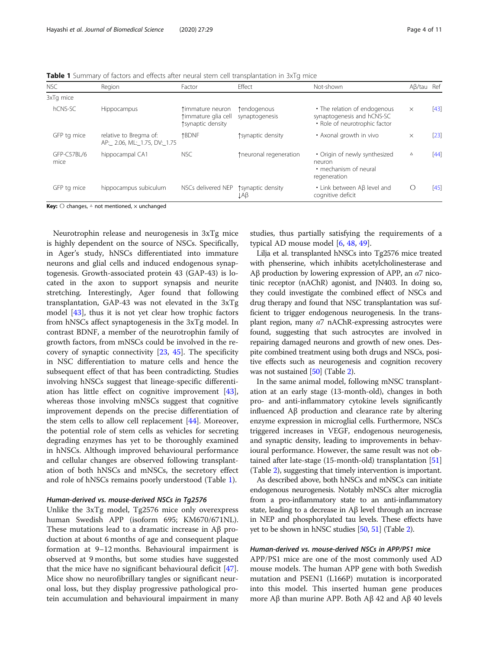<span id="page-3-0"></span>Table 1 Summary of factors and effects after neural stem cell transplantation in 3xTg mice

| NSC                 | Region                                                 | Factor                                                       | Effect                        | Not-shown                                                                                   | $A\beta$ /tau Ref |        |
|---------------------|--------------------------------------------------------|--------------------------------------------------------------|-------------------------------|---------------------------------------------------------------------------------------------|-------------------|--------|
| 3xTq mice           |                                                        |                                                              |                               |                                                                                             |                   |        |
| hCNS-SC             | <b>Hippocampus</b>                                     | timmature neuron<br>timmature glia cell<br>tsynaptic density | tendogenous<br>synaptogenesis | • The relation of endogenous<br>synaptogenesis and hCNS-SC<br>· Role of neurotrophic factor | $\times$          | $[43]$ |
| GFP tg mice         | relative to Bregma of:<br>AP: 2.06, ML: 1.75, DV: 1.75 | <b>1BDNF</b>                                                 | tsynaptic density             | • Axonal growth in vivo                                                                     | $\times$          | $[23]$ |
| GFP-C57BL/6<br>mice | hippocampal CA1                                        | <b>NSC</b>                                                   | tneuronal regeneration        | • Origin of newly synthesized<br>neuron<br>• mechanism of neural<br>regeneration            | Δ                 | [44]   |
| GFP tg mice         | hippocampus subiculum                                  | NSCs delivered NEP                                           | ↑ synaptic density<br>ĮΑβ     | • Link between Aß level and<br>cognitive deficit                                            |                   | [45]   |

**Key:**  $\bigcirc$  changes,  $\triangle$  not mentioned,  $\times$  unchanged

Neurotrophin release and neurogenesis in 3xTg mice is highly dependent on the source of NSCs. Specifically, in Ager's study, hNSCs differentiated into immature neurons and glial cells and induced endogenous synaptogenesis. Growth-associated protein 43 (GAP-43) is located in the axon to support synapsis and neurite stretching. Interestingly, Ager found that following transplantation, GAP-43 was not elevated in the 3xTg model [\[43](#page-10-0)], thus it is not yet clear how trophic factors from hNSCs affect synaptogenesis in the 3xTg model. In contrast BDNF, a member of the neurotrophin family of growth factors, from mNSCs could be involved in the recovery of synaptic connectivity  $[23, 45]$  $[23, 45]$  $[23, 45]$  $[23, 45]$ . The specificity in NSC differentiation to mature cells and hence the subsequent effect of that has been contradicting. Studies involving hNSCs suggest that lineage-specific differentiation has little effect on cognitive improvement [\[43](#page-10-0)], whereas those involving mNSCs suggest that cognitive improvement depends on the precise differentiation of the stem cells to allow cell replacement [[44](#page-10-0)]. Moreover, the potential role of stem cells as vehicles for secreting degrading enzymes has yet to be thoroughly examined in hNSCs. Although improved behavioural performance and cellular changes are observed following transplantation of both hNSCs and mNSCs, the secretory effect and role of hNSCs remains poorly understood (Table 1).

### Human-derived vs. mouse-derived NSCs in Tg2576

Unlike the 3xTg model, Tg2576 mice only overexpress human Swedish APP (isoform 695; KM670/671NL). These mutations lead to a dramatic increase in Aβ production at about 6 months of age and consequent plaque formation at 9–12 months. Behavioural impairment is observed at 9 months, but some studies have suggested that the mice have no significant behavioural deficit [\[47](#page-10-0)]. Mice show no neurofibrillary tangles or significant neuronal loss, but they display progressive pathological protein accumulation and behavioural impairment in many

studies, thus partially satisfying the requirements of a typical AD mouse model [[6,](#page-9-0) [48,](#page-10-0) [49](#page-10-0)].

Lilja et al. transplanted hNSCs into Tg2576 mice treated with phenserine, which inhibits acetylcholinesterase and Aβ production by lowering expression of APP, an  $α7$  nicotinic receptor (nAChR) agonist, and JN403. In doing so, they could investigate the combined effect of NSCs and drug therapy and found that NSC transplantation was sufficient to trigger endogenous neurogenesis. In the transplant region, many  $\alpha$ 7 nAChR-expressing astrocytes were found, suggesting that such astrocytes are involved in repairing damaged neurons and growth of new ones. Despite combined treatment using both drugs and NSCs, positive effects such as neurogenesis and cognition recovery was not sustained [\[50\]](#page-10-0) (Table [2\)](#page-4-0).

In the same animal model, following mNSC transplantation at an early stage (13-month-old), changes in both pro- and anti-inflammatory cytokine levels significantly influenced Aβ production and clearance rate by altering enzyme expression in microglial cells. Furthermore, NSCs triggered increases in VEGF, endogenous neurogenesis, and synaptic density, leading to improvements in behavioural performance. However, the same result was not obtained after late-stage (15-month-old) transplantation [[51](#page-10-0)] (Table [2\)](#page-4-0), suggesting that timely intervention is important.

As described above, both hNSCs and mNSCs can initiate endogenous neurogenesis. Notably mNSCs alter microglia from a pro-inflammatory state to an anti-inflammatory state, leading to a decrease in Aβ level through an increase in NEP and phosphorylated tau levels. These effects have yet to be shown in hNSC studies [\[50,](#page-10-0) [51\]](#page-10-0) (Table [2\)](#page-4-0).

# Human-derived vs. mouse-derived NSCs in APP/PS1 mice

APP/PS1 mice are one of the most commonly used AD mouse models. The human APP gene with both Swedish mutation and PSEN1 (L166P) mutation is incorporated into this model. This inserted human gene produces more Aβ than murine APP. Both Aβ 42 and Aβ 40 levels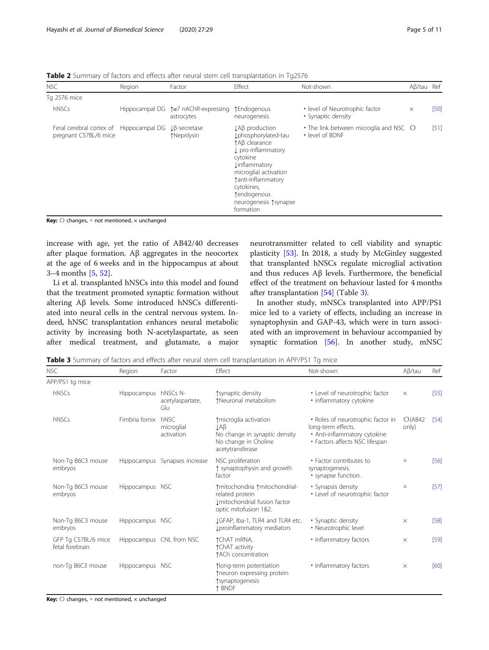<span id="page-4-0"></span>Table 2 Summary of factors and effects after neural stem cell transplantation in Tg2576

| NSC                                                              | Region | Factor                                                            | Effect                                                                                                                                                                                                                                                   | Not-shown                                                 | $A\beta/tau$ Ref |        |
|------------------------------------------------------------------|--------|-------------------------------------------------------------------|----------------------------------------------------------------------------------------------------------------------------------------------------------------------------------------------------------------------------------------------------------|-----------------------------------------------------------|------------------|--------|
| Tg 2576 mice                                                     |        |                                                                   |                                                                                                                                                                                                                                                          |                                                           |                  |        |
| hNSCs                                                            |        | Hippocampal DG $\uparrow \alpha$ 7 nAChR-expressing<br>astrocytes | ↑Endogenous<br>neurogenesis                                                                                                                                                                                                                              | • level of Neurotrophic factor<br>• Synaptic density      | $\times$         | $[50]$ |
| Feral cerebral cortex of Hippocampal DG<br>pregnant C57BL/6 mice |        | $L\beta$ -secretase<br>↑Neprilysin                                | $\downarrow$ A $\upbeta$ production<br>Iphosphorylated-tau<br>↑Aß clearance<br>L pro-inflammatory<br>cytokine<br><b>Linflammatory</b><br>microglial activation<br>tanti-inflammatory<br>cytokines,<br>tendogenous<br>neurogenesis 1 synapse<br>formation | • The link between microglia and NSC O<br>• level of BDNF |                  | [51]   |

**Key:**  $\bigcirc$  changes,  $\triangle$  not mentioned,  $\times$  unchanged

increase with age, yet the ratio of AB42/40 decreases after plaque formation. Aβ aggregates in the neocortex at the age of 6 weeks and in the hippocampus at about 3–4 months [\[5](#page-9-0), [52](#page-10-0)].

Li et al. transplanted hNSCs into this model and found that the treatment promoted synaptic formation without altering Aβ levels. Some introduced hNSCs differentiated into neural cells in the central nervous system. Indeed, hNSC transplantation enhances neural metabolic activity by increasing both N-acetylaspartate, as seen after medical treatment, and glutamate, a major

neurotransmitter related to cell viability and synaptic plasticity [\[53](#page-10-0)]. In 2018, a study by McGinley suggested that transplanted hNSCs regulate microglial activation and thus reduces Aβ levels. Furthermore, the beneficial effect of the treatment on behaviour lasted for 4 months after transplantation [\[54\]](#page-10-0) (Table 3).

In another study, mNSCs transplanted into APP/PS1 mice led to a variety of effects, including an increase in synaptophysin and GAP-43, which were in turn associated with an improvement in behaviour accompanied by synaptic formation [\[56](#page-10-0)]. In another study, mNSC

Table 3 Summary of factors and effects after neural stem cell transplantation in APP/PS1 Tg mice

| <b>NSC</b>                             | Region               | Factor                           | Effect                                                                                                      | Not-shown                                                                                                                 |                  | Ref  |
|----------------------------------------|----------------------|----------------------------------|-------------------------------------------------------------------------------------------------------------|---------------------------------------------------------------------------------------------------------------------------|------------------|------|
| APP/PS1 tg mice                        |                      |                                  |                                                                                                             |                                                                                                                           |                  |      |
| hNSCs                                  | Hippocampus hNSCs N- | acetylaspartate,<br>Glu          | tsynaptic density<br>↑Neuronal metabolism                                                                   | • Level of neurotrophic factor<br>· inflammatory cytokine                                                                 | $\times$         | [55] |
| hNSCs                                  | Fimbria fornix       | hNSC<br>microglial<br>activation | ↑ microglia activation<br>ŢΨβ<br>No change in synaptic density<br>No change in Choline<br>acetytransferase  | • Roles of neurotrophic factor in<br>long-term effects.<br>• Anti-inflammatory cytokine<br>• Factors affects NSC lifespan | O(AB42)<br>only) | [54] |
| Non-Tg B6C3 mouse<br>embryos           |                      | Hippocampus Synapses increase    | NSC proliferation<br>↑ synaptophysin and growth<br>factor                                                   | • Factor contributes to<br>synaptogenesis.<br>• synapse function.                                                         | Δ                | [56] |
| Non-Tg B6C3 mouse<br>embryos           | Hippocampus NSC      |                                  | ↑ mitochondria ↑ mitochondrial-<br>related protein<br>Imitochondrial fusion factor<br>optic mitofusion 1&2. | • Synapsis density<br>• Level of neurotrophic factor                                                                      | $\Delta$         | [57] |
| Non-Tg B6C3 mouse<br>embryos           | Hippocampus NSC      |                                  | JGFAP, Iba-1, TLR4 and TLR4 etc.<br>I proinflammatory mediators                                             | • Synaptic density<br>· Neurotrophic level                                                                                | $\times$         | [58] |
| GFP Tg C57BL/6 mice<br>fetal forebrain |                      | Hippocampus CNL from NSC         | ↑ChAT mRNA,<br>↑ChAT activity<br>↑ACh concentration                                                         | • Inflammatory factors                                                                                                    | $\times$         | [59] |
| non-Tg B6C3 mouse                      | Hippocampus NSC      |                                  | 1long-term potentiation<br>↑neuron expressing protein<br>tsynaptogenesis<br>↑ BNDF                          | • Inflammatory factors                                                                                                    | $\times$         | [60] |

Key:  $\bigcirc$  changes,  $\triangle$  not mentioned,  $\times$  unchanged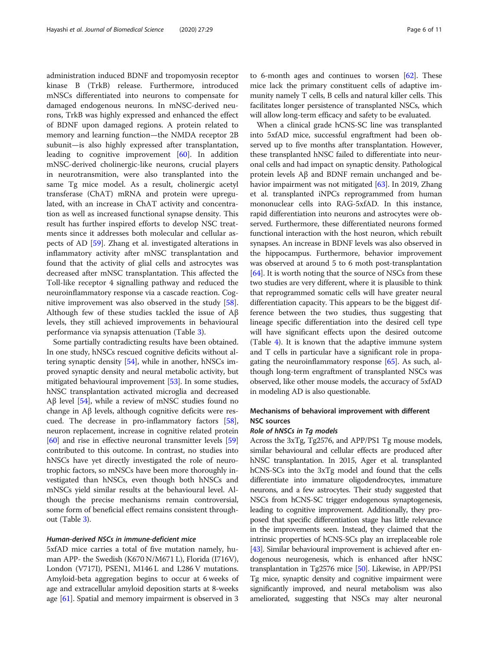administration induced BDNF and tropomyosin receptor kinase B (TrkB) release. Furthermore, introduced mNSCs differentiated into neurons to compensate for damaged endogenous neurons. In mNSC-derived neurons, TrkB was highly expressed and enhanced the effect of BDNF upon damaged regions. A protein related to memory and learning function—the NMDA receptor 2B subunit—is also highly expressed after transplantation, leading to cognitive improvement [\[60](#page-10-0)]. In addition mNSC-derived cholinergic-like neurons, crucial players in neurotransmition, were also transplanted into the same Tg mice model. As a result, cholinergic acetyl transferase (ChAT) mRNA and protein were upregulated, with an increase in ChAT activity and concentration as well as increased functional synapse density. This result has further inspired efforts to develop NSC treatments since it addresses both molecular and cellular aspects of AD [\[59](#page-10-0)]. Zhang et al. investigated alterations in inflammatory activity after mNSC transplantation and found that the activity of glial cells and astrocytes was decreased after mNSC transplantation. This affected the Toll-like receptor 4 signalling pathway and reduced the neuroinflammatory response via a cascade reaction. Cognitive improvement was also observed in the study [\[58](#page-10-0)]. Although few of these studies tackled the issue of Aβ levels, they still achieved improvements in behavioural performance via synapsis attenuation (Table [3\)](#page-4-0).

Some partially contradicting results have been obtained. In one study, hNSCs rescued cognitive deficits without altering synaptic density [[54](#page-10-0)], while in another, hNSCs improved synaptic density and neural metabolic activity, but mitigated behavioural improvement [\[53\]](#page-10-0). In some studies, hNSC transplantation activated microglia and decreased Aβ level  $[54]$ , while a review of mNSC studies found no change in Aβ levels, although cognitive deficits were rescued. The decrease in pro-inflammatory factors [[58](#page-10-0)], neuron replacement, increase in cognitive related protein [[60](#page-10-0)] and rise in effective neuronal transmitter levels [[59](#page-10-0)] contributed to this outcome. In contrast, no studies into hNSCs have yet directly investigated the role of neurotrophic factors, so mNSCs have been more thoroughly investigated than hNSCs, even though both hNSCs and mNSCs yield similar results at the behavioural level. Although the precise mechanisms remain controversial, some form of beneficial effect remains consistent throughout (Table [3\)](#page-4-0).

# Human-derived NSCs in immune-deficient mice

5xfAD mice carries a total of five mutation namely, human APP- the Swedish (K670 N/M671 L), Florida (I716V), London (V717I), PSEN1, M146 L and L286 V mutations. Amyloid-beta aggregation begins to occur at 6 weeks of age and extracellular amyloid deposition starts at 8-weeks age [\[61\]](#page-10-0). Spatial and memory impairment is observed in 3

to 6-month ages and continues to worsen  $[62]$  $[62]$  $[62]$ . These mice lack the primary constituent cells of adaptive immunity namely T cells, B cells and natural killer cells. This facilitates longer persistence of transplanted NSCs, which will allow long-term efficacy and safety to be evaluated.

When a clinical grade hCNS-SC line was transplanted into 5xfAD mice, successful engraftment had been observed up to five months after transplantation. However, these transplanted hNSC failed to differentiate into neuronal cells and had impact on synaptic density. Pathological protein levels Aβ and BDNF remain unchanged and behavior impairment was not mitigated [[63](#page-10-0)]. In 2019, Zhang et al. transplanted iNPCs reprogrammed from human mononuclear cells into RAG-5xfAD. In this instance, rapid differentiation into neurons and astrocytes were observed. Furthermore, these differentiated neurons formed functional interaction with the host neuron, which rebuilt synapses. An increase in BDNF levels was also observed in the hippocampus. Furthermore, behavior improvement was observed at around 5 to 6 moth post-transplantation [[64](#page-10-0)]. It is worth noting that the source of NSCs from these two studies are very different, where it is plausible to think that reprogrammed somatic cells will have greater neural differentiation capacity. This appears to be the biggest difference between the two studies, thus suggesting that lineage specific differentiation into the desired cell type will have significant effects upon the desired outcome (Table [4](#page-6-0)). It is known that the adaptive immune system and T cells in particular have a significant role in propagating the neuroinflammatory response [[65](#page-10-0)]. As such, although long-term engraftment of transplanted NSCs was observed, like other mouse models, the accuracy of 5xfAD in modeling AD is also questionable.

# Mechanisms of behavioral improvement with different NSC sources

### Role of hNSCs in Tg models

Across the 3xTg, Tg2576, and APP/PS1 Tg mouse models, similar behavioural and cellular effects are produced after hNSC transplantation. In 2015, Ager et al. transplanted hCNS-SCs into the 3xTg model and found that the cells differentiate into immature oligodendrocytes, immature neurons, and a few astrocytes. Their study suggested that NSCs from hCNS-SC trigger endogenous synaptogenesis, leading to cognitive improvement. Additionally, they proposed that specific differentiation stage has little relevance in the improvements seen. Instead, they claimed that the intrinsic properties of hCNS-SCs play an irreplaceable role [[43](#page-10-0)]. Similar behavioural improvement is achieved after endogenous neurogenesis, which is enhanced after hNSC transplantation in Tg2576 mice [[50](#page-10-0)]. Likewise, in APP/PS1 Tg mice, synaptic density and cognitive impairment were significantly improved, and neural metabolism was also ameliorated, suggesting that NSCs may alter neuronal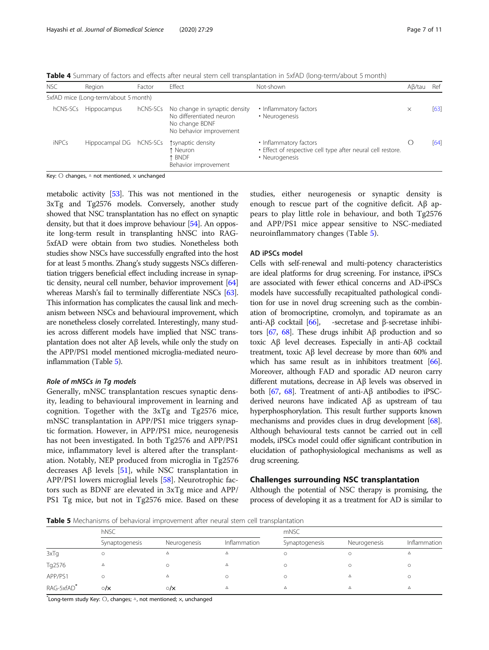<span id="page-6-0"></span>Table 4 Summary of factors and effects after neural stem cell transplantation in 5xfAD (long-term/about 5 month)

| <b>NSC</b>   | Region                               | Factor   | Effect                                                                                                 | Not-shown                                                                                               | $A\beta/tau$ | Ref  |
|--------------|--------------------------------------|----------|--------------------------------------------------------------------------------------------------------|---------------------------------------------------------------------------------------------------------|--------------|------|
|              | 5xfAD mice (Long-term/about 5 month) |          |                                                                                                        |                                                                                                         |              |      |
| hCNS-SCs     | <b>Hippocampus</b>                   | hCNS-SCs | No change in synaptic density<br>No differentiated neuron<br>No change BDNF<br>No behavior improvement | • Inflammatory factors<br>• Neurogenesis                                                                | $\times$     | [63] |
| <b>iNPCs</b> | Hippocampal DG                       | hCNS-SCs | tsynaptic density<br>Neuron<br><b>BNDF</b><br>Behavior improvement                                     | • Inflammatory factors<br>· Effect of respective cell type after neural cell restore.<br>• Neurogenesis |              | [64] |

Key: ○ changes, △ not mentioned, × unchanged

metabolic activity [\[53\]](#page-10-0). This was not mentioned in the 3xTg and Tg2576 models. Conversely, another study showed that NSC transplantation has no effect on synaptic density, but that it does improve behaviour [\[54\]](#page-10-0). An opposite long-term result in transplanting hNSC into RAG-5xfAD were obtain from two studies. Nonetheless both studies show NSCs have successfully engrafted into the host for at least 5 months. Zhang's study suggests NSCs differentiation triggers beneficial effect including increase in synaptic density, neural cell number, behavior improvement [\[64](#page-10-0)] whereas Marsh's fail to terminally differentiate NSCs [\[63](#page-10-0)]. This information has complicates the causal link and mechanism between NSCs and behavioural improvement, which are nonetheless closely correlated. Interestingly, many studies across different models have implied that NSC transplantation does not alter Aβ levels, while only the study on the APP/PS1 model mentioned microglia-mediated neuroinflammation (Table 5).

# Role of mNSCs in Tg models

Generally, mNSC transplantation rescues synaptic density, leading to behavioural improvement in learning and cognition. Together with the 3xTg and Tg2576 mice, mNSC transplantation in APP/PS1 mice triggers synaptic formation. However, in APP/PS1 mice, neurogenesis has not been investigated. In both Tg2576 and APP/PS1 mice, inflammatory level is altered after the transplantation. Notably, NEP produced from microglia in Tg2576 decreases  $\text{A}\beta$  levels [\[51](#page-10-0)], while NSC transplantation in APP/PS1 lowers microglial levels [[58](#page-10-0)]. Neurotrophic factors such as BDNF are elevated in 3xTg mice and APP/ PS1 Tg mice, but not in Tg2576 mice. Based on these

studies, either neurogenesis or synaptic density is enough to rescue part of the cognitive deficit. Aβ appears to play little role in behaviour, and both Tg2576 and APP/PS1 mice appear sensitive to NSC-mediated neuroinflammatory changes (Table 5).

# AD iPSCs model

Cells with self-renewal and multi-potency characteristics are ideal platforms for drug screening. For instance, iPSCs are associated with fewer ethical concerns and AD-iPSCs models have successfully recapitualted pathological condition for use in novel drug screening such as the combination of bromocriptine, cromolyn, and topiramate as an anti-Aβ cocktail [\[66\]](#page-10-0), -secretase and β-secretase inhibi-tors [\[67,](#page-10-0) [68\]](#page-10-0). These drugs inhibit  $\text{A}\beta$  production and so toxic Aβ level decreases. Especially in anti-Aβ cocktail treatment, toxic Aβ level decrease by more than 60% and which has same result as in inhibitors treatment [\[66](#page-10-0)]. Moreover, although FAD and sporadic AD neuron carry different mutations, decrease in Aβ levels was observed in both [\[67,](#page-10-0) [68\]](#page-10-0). Treatment of anti-Aβ antibodies to iPSCderived neurons have indicated Aβ as upstream of tau hyperphosphorylation. This result further supports known mechanisms and provides clues in drug development [\[68](#page-10-0)]. Although behavioural tests cannot be carried out in cell models, iPSCs model could offer significant contribution in elucidation of pathophysiological mechanisms as well as drug screening.

# Challenges surrounding NSC transplantation

Although the potential of NSC therapy is promising, the process of developing it as a treatment for AD is similar to

Table 5 Mechanisms of behavioral improvement after neural stem cell transplantation

|            | hNSC           |                |              | mNSC           |              |              |  |
|------------|----------------|----------------|--------------|----------------|--------------|--------------|--|
|            | Synaptogenesis | Neurogenesis   | Inflammation | Synaptogenesis | Neurogenesis | Inflammation |  |
| 3xTg       | $\circ$        | Δ              |              |                |              | Δ            |  |
| Tg2576     | $\Delta$       |                |              |                |              | C            |  |
| APP/PS1    |                |                |              |                | Δ            |              |  |
| RAG-5xfAD* | $\circ/\times$ | $\circ/\times$ |              |                | Δ            | Δ            |  |

 $\checkmark$ Long-term study Key:  $\bigcirc$ , changes;  $\triangle$ , not mentioned;  $\times$ , unchanged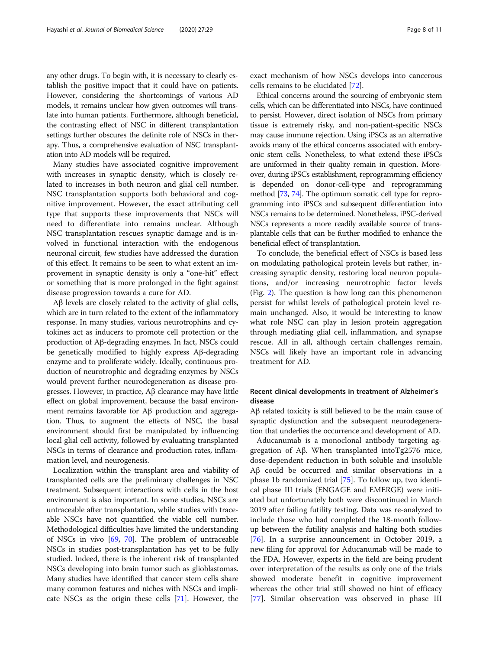any other drugs. To begin with, it is necessary to clearly establish the positive impact that it could have on patients. However, considering the shortcomings of various AD models, it remains unclear how given outcomes will translate into human patients. Furthermore, although beneficial, the contrasting effect of NSC in different transplantation settings further obscures the definite role of NSCs in therapy. Thus, a comprehensive evaluation of NSC transplantation into AD models will be required.

Many studies have associated cognitive improvement with increases in synaptic density, which is closely related to increases in both neuron and glial cell number. NSC transplantation supports both behavioral and cognitive improvement. However, the exact attributing cell type that supports these improvements that NSCs will need to differentiate into remains unclear. Although NSC transplantation rescues synaptic damage and is involved in functional interaction with the endogenous neuronal circuit, few studies have addressed the duration of this effect. It remains to be seen to what extent an improvement in synaptic density is only a "one-hit" effect or something that is more prolonged in the fight against disease progression towards a cure for AD.

Aβ levels are closely related to the activity of glial cells, which are in turn related to the extent of the inflammatory response. In many studies, various neurotrophins and cytokines act as inducers to promote cell protection or the production of Aβ-degrading enzymes. In fact, NSCs could be genetically modified to highly express Aβ-degrading enzyme and to proliferate widely. Ideally, continuous production of neurotrophic and degrading enzymes by NSCs would prevent further neurodegeneration as disease progresses. However, in practice, Aβ clearance may have little effect on global improvement, because the basal environment remains favorable for Aβ production and aggregation. Thus, to augment the effects of NSC, the basal environment should first be manipulated by influencing local glial cell activity, followed by evaluating transplanted NSCs in terms of clearance and production rates, inflammation level, and neurogenesis.

Localization within the transplant area and viability of transplanted cells are the preliminary challenges in NSC treatment. Subsequent interactions with cells in the host environment is also important. In some studies, NSCs are untraceable after transplantation, while studies with traceable NSCs have not quantified the viable cell number. Methodological difficulties have limited the understanding of NSCs in vivo [[69](#page-10-0), [70](#page-10-0)]. The problem of untraceable NSCs in studies post-transplantation has yet to be fully studied. Indeed, there is the inherent risk of transplanted NSCs developing into brain tumor such as glioblastomas. Many studies have identified that cancer stem cells share many common features and niches with NSCs and implicate NSCs as the origin these cells [\[71\]](#page-10-0). However, the

Ethical concerns around the sourcing of embryonic stem cells, which can be differentiated into NSCs, have continued to persist. However, direct isolation of NSCs from primary tissue is extremely risky, and non-patient-specific NSCs may cause immune rejection. Using iPSCs as an alternative avoids many of the ethical concerns associated with embryonic stem cells. Nonetheless, to what extend these iPSCs are uniformed in their quality remain in question. Moreover, during iPSCs establishment, reprogramming efficiency is depended on donor-cell-type and reprogramming method [\[73](#page-10-0), [74\]](#page-10-0). The optimum somatic cell type for reprogramming into iPSCs and subsequent differentiation into NSCs remains to be determined. Nonetheless, iPSC-derived NSCs represents a more readily available source of transplantable cells that can be further modified to enhance the beneficial effect of transplantation.

To conclude, the beneficial effect of NSCs is based less on modulating pathological protein levels but rather, increasing synaptic density, restoring local neuron populations, and/or increasing neurotrophic factor levels (Fig. [2\)](#page-8-0). The question is how long can this phenomenon persist for whilst levels of pathological protein level remain unchanged. Also, it would be interesting to know what role NSC can play in lesion protein aggregation through mediating glial cell, inflammation, and synapse rescue. All in all, although certain challenges remain, NSCs will likely have an important role in advancing treatment for AD.

# Recent clinical developments in treatment of Alzheimer's disease

Aβ related toxicity is still believed to be the main cause of synaptic dysfunction and the subsequent neurodegeneration that underlies the occurrence and development of AD.

Aducanumab is a monoclonal antibody targeting aggregation of Aβ. When transplanted intoTg2576 mice, dose-dependent reduction in both soluble and insoluble Aβ could be occurred and similar observations in a phase 1b randomized trial [\[75](#page-10-0)]. To follow up, two identical phase III trials (ENGAGE and EMERGE) were initiated but unfortunately both were discontinued in March 2019 after failing futility testing. Data was re-analyzed to include those who had completed the 18-month followup between the futility analysis and halting both studies [[76\]](#page-10-0). In a surprise announcement in October 2019, a new filing for approval for Aducanumab will be made to the FDA. However, experts in the field are being prudent over interpretation of the results as only one of the trials showed moderate benefit in cognitive improvement whereas the other trial still showed no hint of efficacy [[77\]](#page-10-0). Similar observation was observed in phase III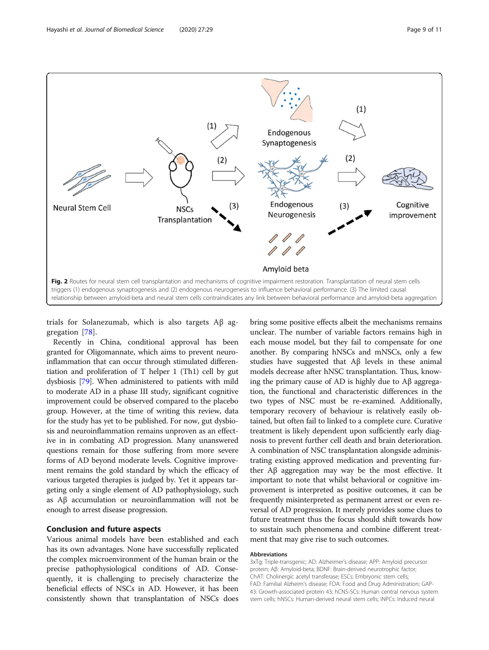<span id="page-8-0"></span>

trials for Solanezumab, which is also targets Aβ aggregation [[78\]](#page-10-0).

Recently in China, conditional approval has been granted for Oligomannate, which aims to prevent neuroinflammation that can occur through stimulated differentiation and proliferation of T helper 1 (Th1) cell by gut dysbiosis [\[79](#page-10-0)]. When administered to patients with mild to moderate AD in a phase III study, significant cognitive improvement could be observed compared to the placebo group. However, at the time of writing this review, data for the study has yet to be published. For now, gut dysbiosis and neuroinflammation remains unproven as an effective in in combating AD progression. Many unanswered questions remain for those suffering from more severe forms of AD beyond moderate levels. Cognitive improvement remains the gold standard by which the efficacy of various targeted therapies is judged by. Yet it appears targeting only a single element of AD pathophysiology, such as Aβ accumulation or neuroinflammation will not be enough to arrest disease progression.

# Conclusion and future aspects

Various animal models have been established and each has its own advantages. None have successfully replicated the complex microenvironment of the human brain or the precise pathophysiological conditions of AD. Consequently, it is challenging to precisely characterize the beneficial effects of NSCs in AD. However, it has been consistently shown that transplantation of NSCs does

bring some positive effects albeit the mechanisms remains unclear. The number of variable factors remains high in each mouse model, but they fail to compensate for one another. By comparing hNSCs and mNSCs, only a few studies have suggested that Aβ levels in these animal models decrease after hNSC transplantation. Thus, knowing the primary cause of AD is highly due to Aβ aggregation, the functional and characteristic differences in the two types of NSC must be re-examined. Additionally, temporary recovery of behaviour is relatively easily obtained, but often fail to linked to a complete cure. Curative treatment is likely dependent upon sufficiently early diagnosis to prevent further cell death and brain deterioration. A combination of NSC transplantation alongside administrating existing approved medication and preventing further Aβ aggregation may way be the most effective. It important to note that whilst behavioral or cognitive improvement is interpreted as positive outcomes, it can be frequently misinterpreted as permanent arrest or even reversal of AD progression. It merely provides some clues to future treatment thus the focus should shift towards how to sustain such phenomena and combine different treatment that may give rise to such outcomes.

# Abbreviations

3xTg: Triple-transgenic; AD: Alzheimer's disease; APP: Amyloid precursor protein; Aβ: Amyloid-beta; BDNF: Brain-derived neurotrophic factor; ChAT: Cholinergic acetyl transferase; ESCs: Embryonic stem cells; FAD: Familial Alzheim's disease; FDA: Food and Drug Administration; GAP-43: Growth-associated protein 43; hCNS-SCs: Human central nervous system stem cells; hNSCs: Human-derived neural stem cells; iNPCs: Induced neural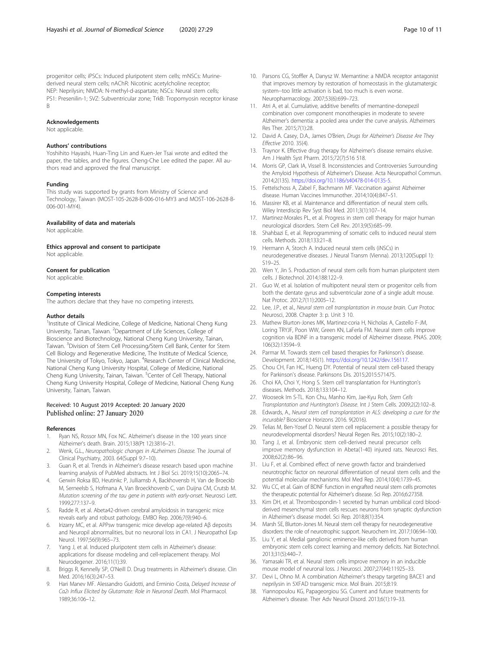<span id="page-9-0"></span>progenitor cells; iPSCs: Induced pluripotent stem cells; mNSCs: Murinederived neural stem cells; nAChR: Nicotinic acetylcholine receptor; NEP: Neprilysin; NMDA: N-methyl-d-aspartate; NSCs: Neural stem cells; PS1: Presenilin-1; SVZ: Subventricular zone; TrkB: Tropomyosin receptor kinase B

#### Acknowledgements

Not applicable.

# Authors' contributions

Yoshihito Hayashi, Huan-Ting Lin and Kuen-Jer Tsai wrote and edited the paper, the tables, and the figures. Cheng-Che Lee edited the paper. All authors read and approved the final manuscript.

#### Funding

This study was supported by grants from Ministry of Science and Technology, Taiwan (MOST-105-2628-B-006-016-MY3 and MOST-106-2628-B-006-001-MY4).

# Availability of data and materials

Not applicable

Ethics approval and consent to participate Not applicable.

#### Consent for publication

Not applicable.

# Competing interests

The authors declare that they have no competing interests.

#### Author details

<sup>1</sup>Institute of Clinical Medicine, College of Medicine, National Cheng Kung University, Tainan, Taiwan. <sup>2</sup>Department of Life Sciences, College of Bioscience and Biotechnology, National Cheng Kung University, Tainan, Taiwan. <sup>3</sup> Division of Stem Cell Processing/Stem Cell Bank, Center for Stem Cell Biology and Regenerative Medicine, The Institute of Medical Science, The University of Tokyo, Tokyo, Japan. <sup>4</sup>Research Center of Clinical Medicine, National Cheng Kung University Hospital, College of Medicine, National Cheng Kung University, Tainan, Taiwan. <sup>5</sup>Center of Cell Therapy, National Cheng Kung University Hospital, College of Medicine, National Cheng Kung University, Tainan, Taiwan.

# Received: 10 August 2019 Accepted: 20 January 2020 Published online: 27 January 2020

#### References

- 1. Ryan NS, Rossor MN, Fox NC. Alzheimer's disease in the 100 years since Alzheimer's death. Brain. 2015;138(Pt 12):3816–21.
- 2. Wenk, G.L., Neuropathologic changes in ALzheimers Disease. The Journal of Clinical Psychiatry, 2003. 64(Suppl 9:7–10).
- Guan R, et al. Trends in Alzheimer's disease research based upon machine learning analysis of PubMed abstracts. Int J Biol Sci. 2019;15(10):2065–74.
- 4. Gerwin Roksa BD, Heutinkc P, Julliamsb A, Backhovensb H, Van de Broeckb M, Serneelsb S, Hofmana A, Van Broeckhovenb C, van Duijna CM, Crutsb M. Mutation screening of the tau gene in patients with early-onset. Neurosci Lett. 1999;277:137–9.
- 5. Radde R, et al. Abeta42-driven cerebral amyloidosis in transgenic mice reveals early and robust pathology. EMBO Rep. 2006;7(9):940–6.
- 6. Irizarry MC, et al. APPsw transgenic mice develop age-related Aβ deposits and Neuropil abnormalities, but no neuronal loss in CA1. J Neuropathol Exp Neurol. 1997;56(9):965–73.
- 7. Yang J, et al. Induced pluripotent stem cells in Alzheimer's disease: applications for disease modeling and cell-replacement therapy. Mol Neurodegener. 2016;11(1):39.
- 8. Briggs R, Kennelly SP, O'Neill D. Drug treatments in Alzheimer's disease. Clin Med. 2016;16(3):247–53.
- Hari Manev MF. Alessandro Guidotti, and Erminio Costa, Delayed Increase of Ca2ı Influx Elicited by Glutamate: Role in Neuronal Death. Mol Pharmacol. 1989;36:106–12.
- 10. Parsons CG, Stoffler A, Danysz W. Memantine: a NMDA receptor antagonist that improves memory by restoration of homeostasis in the glutamatergic system--too little activation is bad, too much is even worse. Neuropharmacology. 2007;53(6):699–723.
- 11. Atri A, et al. Cumulative, additive benefits of memantine-donepezil combination over component monotherapies in moderate to severe Alzheimer's dementia: a pooled area under the curve analysis. Alzheimers Res Ther. 2015;7(1):28.
- 12. David A. Casey, D.A., James O'Brien, Drugs for Alzheimer's Disease Are They Effective 2010. 35(4).
- 13. Traynor K. Effective drug therapy for Alzheimer's disease remains elusive. Am J Health Syst Pharm. 2015;72(7):516 518.
- 14. Morris GP, Clark IA, Vissel B. Inconsistencies and Controversies Surrounding the Amyloid Hypothesis of Alzheimer's Disease. Acta Neuropathol Commun. 2014;2(135). [https://doi.org/10.1186/s40478-014-0135-5.](https://doi.org/10.1186/s40478-014-0135-5)
- 15. Fettelschoss A, Zabel F, Bachmann MF. Vaccination against Alzheimer disease. Human Vaccines Immunother. 2014;10(4):847–51.
- 16. Massirer KB, et al. Maintenance and differentiation of neural stem cells. Wiley Interdiscip Rev Syst Biol Med. 2011;3(1):107–14.
- 17. Martinez-Morales PL, et al. Progress in stem cell therapy for major human neurological disorders. Stem Cell Rev. 2013;9(5):685–99.
- 18. Shahbazi E, et al. Reprogramming of somatic cells to induced neural stem cells. Methods. 2018;133:21–8.
- 19. Hermann A, Storch A. Induced neural stem cells (iNSCs) in neurodegenerative diseases. J Neural Transm (Vienna). 2013;120(Suppl 1): S19–25.
- 20. Wen Y, Jin S. Production of neural stem cells from human pluripotent stem cells. J Biotechnol. 2014;188:122–9.
- 21. Guo W, et al. Isolation of multipotent neural stem or progenitor cells from both the dentate gyrus and subventricular zone of a single adult mouse. Nat Protoc. 2012;7(11):2005–12.
- 22. Lee, J.P., et al., Neural stem cell transplantation in mouse brain. Curr Protoc Neurosci, 2008. Chapter 3: p. Unit 3 10.
- 23. Mathew Blurton-Jones MK, Martinez-coria H, Nicholas A, Castello F-JM, Loring TRYJF, Poon WW, Green KN, LaFerla FM. Neural stem cells improve cognition via BDNF in a transgenic model of Alzheimer disease. PNAS. 2009; 106(32):13594–9.
- 24. Parmar M. Towards stem cell based therapies for Parkinson's disease. Development. 2018;145(1). [https://doi.org/10.1242/dev.156117.](https://doi.org/10.1242/dev.156117)
- 25. Chou CH, Fan HC, Hueng DY. Potential of neural stem cell-based therapy for Parkinson's disease. Parkinsons Dis. 2015;2015:571475.
- 26. Choi KA, Choi Y, Hong S. Stem cell transplantation for Huntington's diseases. Methods. 2018;133:104–12.
- 27. Wooseok Im S-TL. Kon Chu, Manho Kim, Jae-Kyu Roh, Stem Cells Transplantation and Huntington's Disease. Int J Stem Cells. 2009;2(2):102–8.
- 28. Edwards, A., Neural stem cell transplantation in ALS: developing a cure for the incurable? Bioscience Horizons 2016. 9(2016).
- 29. Telias M, Ben-Yosef D. Neural stem cell replacement: a possible therapy for neurodevelopmental disorders? Neural Regen Res. 2015;10(2):180–2.
- 30. Tang J, et al. Embryonic stem cell-derived neural precursor cells improve memory dysfunction in Abeta(1-40) injured rats. Neurosci Res. 2008;62(2):86–96.
- 31. Liu F, et al. Combined effect of nerve growth factor and brainderived neurotrophic factor on neuronal differentiation of neural stem cells and the potential molecular mechanisms. Mol Med Rep. 2014;10(4):1739–45.
- 32. Wu CC, et al. Gain of BDNF function in engrafted neural stem cells promotes the therapeutic potential for Alzheimer's disease. Sci Rep. 2016;6:27358.
- 33. Kim DH, et al. Thrombospondin-1 secreted by human umbilical cord bloodderived mesenchymal stem cells rescues neurons from synaptic dysfunction in Alzheimer's disease model. Sci Rep. 2018;8(1):354.
- Marsh SE, Blurton-Jones M. Neural stem cell therapy for neurodegenerative disorders: the role of neurotrophic support. Neurochem Int. 2017;106:94–100.
- 35. Liu Y, et al. Medial ganglionic eminence-like cells derived from human embryonic stem cells correct learning and memory deficits. Nat Biotechnol. 2013;31(5):440–7.
- 36. Yamasaki TR, et al. Neural stem cells improve memory in an inducible mouse model of neuronal loss. J Neurosci. 2007;27(44):11925–33.
- 37. Devi L, Ohno M. A combination Alzheimer's therapy targeting BACE1 and neprilysin in 5XFAD transgenic mice. Mol Brain. 2015;8:19.
- 38. Yiannopoulou KG, Papageorgiou SG. Current and future treatments for Alzheimer's disease. Ther Adv Neurol Disord. 2013;6(1):19–33.